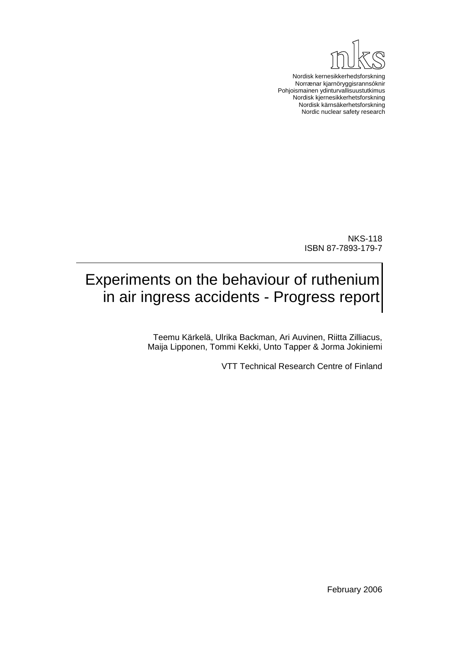

Nordisk kernesikkerhedsforskning Norrænar kjarnöryggisrannsóknir Pohjoismainen ydinturvallisuustutkimus Nordisk kjernesikkerhetsforskning Nordisk kärnsäkerhetsforskning Nordic nuclear safety research

> NKS-118 ISBN 87-7893-179-7

# Experiments on the behaviour of ruthenium in air ingress accidents - Progress report

Teemu Kärkelä, Ulrika Backman, Ari Auvinen, Riitta Zilliacus, Maija Lipponen, Tommi Kekki, Unto Tapper & Jorma Jokiniemi

VTT Technical Research Centre of Finland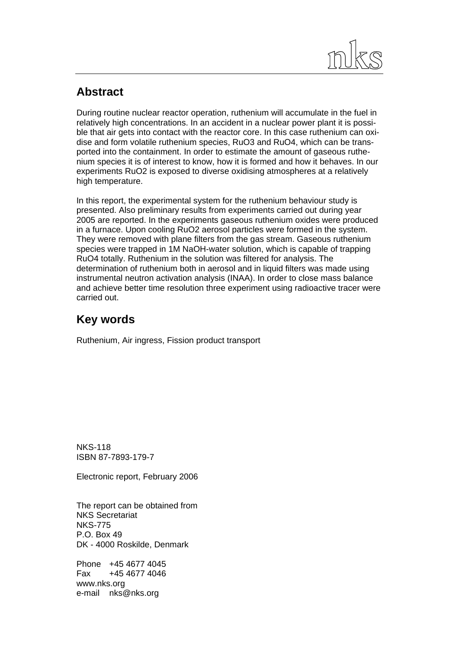

# **Abstract**

During routine nuclear reactor operation, ruthenium will accumulate in the fuel in relatively high concentrations. In an accident in a nuclear power plant it is possible that air gets into contact with the reactor core. In this case ruthenium can oxidise and form volatile ruthenium species, RuO3 and RuO4, which can be transported into the containment. In order to estimate the amount of gaseous ruthenium species it is of interest to know, how it is formed and how it behaves. In our experiments RuO2 is exposed to diverse oxidising atmospheres at a relatively high temperature.

In this report, the experimental system for the ruthenium behaviour study is presented. Also preliminary results from experiments carried out during year 2005 are reported. In the experiments gaseous ruthenium oxides were produced in a furnace. Upon cooling RuO2 aerosol particles were formed in the system. They were removed with plane filters from the gas stream. Gaseous ruthenium species were trapped in 1M NaOH-water solution, which is capable of trapping RuO4 totally. Ruthenium in the solution was filtered for analysis. The determination of ruthenium both in aerosol and in liquid filters was made using instrumental neutron activation analysis (INAA). In order to close mass balance and achieve better time resolution three experiment using radioactive tracer were carried out.

# **Key words**

Ruthenium, Air ingress, Fission product transport

NKS-118 ISBN 87-7893-179-7

Electronic report, February 2006

The report can be obtained from NKS Secretariat NKS-775 P.O. Box 49 DK - 4000 Roskilde, Denmark

Phone +45 4677 4045 Fax +45 4677 4046 www.nks.org e-mail nks@nks.org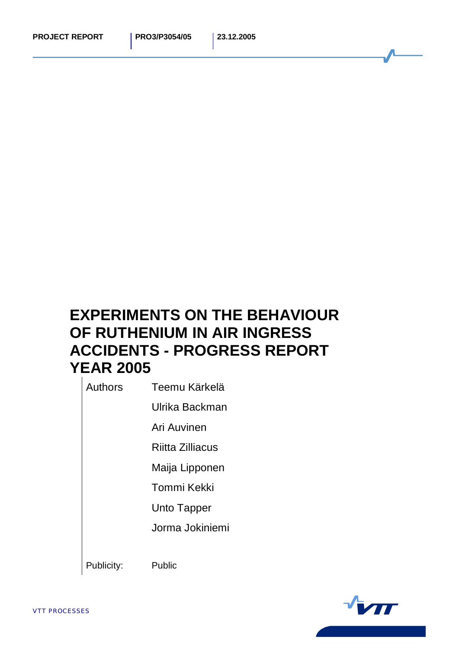# **EXPERIMENTS ON THE BEHAVIOUR OF RUTHENIUM IN AIR INGRESS ACCIDENTS - PROGRESS REPORT YEAR 2005**

Authors Teemu Kärkelä

Ulrika Backman

Ari Auvinen

Riitta Zilliacus

Maija Lipponen

Tommi Kekki

Unto Tapper

Jorma Jokiniemi

Publicity: Public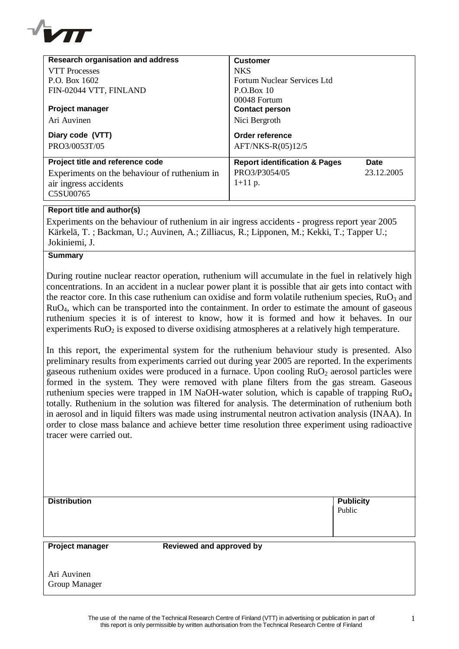

| <b>Research organisation and address</b>     | <b>Customer</b>                          |            |
|----------------------------------------------|------------------------------------------|------------|
| <b>VTT</b> Processes                         | <b>NKS</b>                               |            |
| P.O. Box 1602                                | Fortum Nuclear Services Ltd              |            |
| FIN-02044 VTT, FINLAND                       | P.O.Box 10                               |            |
|                                              | $00048$ Fortum                           |            |
| <b>Project manager</b>                       | <b>Contact person</b>                    |            |
| Ari Auvinen                                  | Nici Bergroth                            |            |
| Diary code (VTT)                             | Order reference                          |            |
| PRO3/0053T/05                                | AFT/NKS-R(05)12/5                        |            |
| Project title and reference code             | <b>Report identification &amp; Pages</b> | Date       |
| Experiments on the behaviour of ruthenium in | PRO3/P3054/05                            | 23.12.2005 |
| air ingress accidents                        | $1+11$ p.                                |            |
| C5SU00765                                    |                                          |            |

### **Report title and author(s)**

Experiments on the behaviour of ruthenium in air ingress accidents - progress report year 2005 Kärkelä, T. ; Backman, U.; Auvinen, A.; Zilliacus, R.; Lipponen, M.; Kekki, T.; Tapper U.; Jokiniemi, J.

# **Summary**

During routine nuclear reactor operation, ruthenium will accumulate in the fuel in relatively high concentrations. In an accident in a nuclear power plant it is possible that air gets into contact with the reactor core. In this case ruthenium can oxidise and form volatile ruthenium species,  $RuO<sub>3</sub>$  and RuO4, which can be transported into the containment. In order to estimate the amount of gaseous ruthenium species it is of interest to know, how it is formed and how it behaves. In our experiments  $RuO<sub>2</sub>$  is exposed to diverse oxidising atmospheres at a relatively high temperature.

In this report, the experimental system for the ruthenium behaviour study is presented. Also preliminary results from experiments carried out during year 2005 are reported. In the experiments gaseous ruthenium oxides were produced in a furnace. Upon cooling  $RuO<sub>2</sub>$  aerosol particles were formed in the system. They were removed with plane filters from the gas stream. Gaseous ruthenium species were trapped in 1M NaOH-water solution, which is capable of trapping RuO<sup>4</sup> totally. Ruthenium in the solution was filtered for analysis. The determination of ruthenium both in aerosol and in liquid filters was made using instrumental neutron activation analysis (INAA). In order to close mass balance and achieve better time resolution three experiment using radioactive tracer were carried out.

| <b>Distribution</b> | <b>Publicity</b> |
|---------------------|------------------|
|                     | Public           |
|                     |                  |
|                     |                  |

**Project manager Reviewed and approved by**

Ari Auvinen Group Manager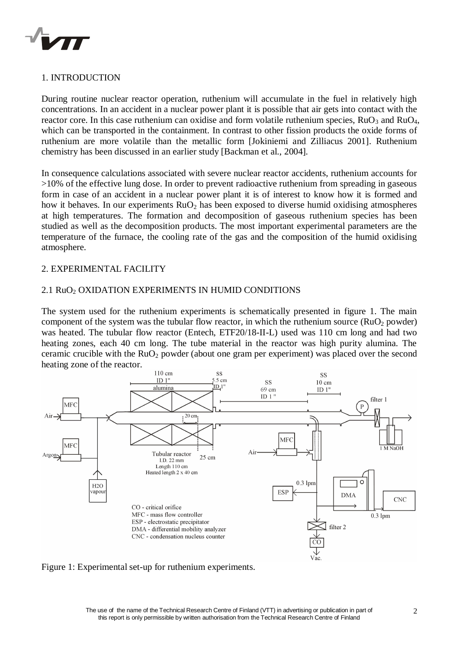

# 1. INTRODUCTION

During routine nuclear reactor operation, ruthenium will accumulate in the fuel in relatively high concentrations. In an accident in a nuclear power plant it is possible that air gets into contact with the reactor core. In this case ruthenium can oxidise and form volatile ruthenium species,  $RuO<sub>3</sub>$  and  $RuO<sub>4</sub>$ , which can be transported in the containment. In contrast to other fission products the oxide forms of ruthenium are more volatile than the metallic form [Jokiniemi and Zilliacus 2001]. Ruthenium chemistry has been discussed in an earlier study [Backman et al., 2004].

In consequence calculations associated with severe nuclear reactor accidents, ruthenium accounts for >10% of the effective lung dose. In order to prevent radioactive ruthenium from spreading in gaseous form in case of an accident in a nuclear power plant it is of interest to know how it is formed and how it behaves. In our experiments  $RuO<sub>2</sub>$  has been exposed to diverse humid oxidising atmospheres at high temperatures. The formation and decomposition of gaseous ruthenium species has been studied as well as the decomposition products. The most important experimental parameters are the temperature of the furnace, the cooling rate of the gas and the composition of the humid oxidising atmosphere.

#### 2. EXPERIMENTAL FACILITY

#### 2.1 RuO<sub>2</sub> OXIDATION EXPERIMENTS IN HUMID CONDITIONS

The system used for the ruthenium experiments is schematically presented in figure 1. The main component of the system was the tubular flow reactor, in which the ruthenium source  $(RuO<sub>2</sub>)$  powder) was heated. The tubular flow reactor (Entech, ETF20/18-II-L) used was 110 cm long and had two heating zones, each 40 cm long. The tube material in the reactor was high purity alumina. The ceramic crucible with the  $RuO<sub>2</sub>$  powder (about one gram per experiment) was placed over the second heating zone of the reactor.



Figure 1: Experimental set-up for ruthenium experiments.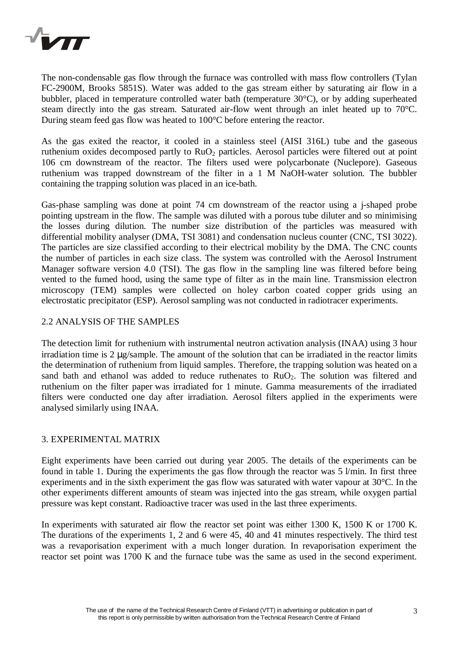

The non-condensable gas flow through the furnace was controlled with mass flow controllers (Tylan FC-2900M, Brooks 5851S). Water was added to the gas stream either by saturating air flow in a bubbler, placed in temperature controlled water bath (temperature 30°C), or by adding superheated steam directly into the gas stream. Saturated air-flow went through an inlet heated up to 70°C. During steam feed gas flow was heated to 100°C before entering the reactor.

As the gas exited the reactor, it cooled in a stainless steel (AISI 316L) tube and the gaseous ruthenium oxides decomposed partly to RuO<sub>2</sub> particles. Aerosol particles were filtered out at point 106 cm downstream of the reactor. The filters used were polycarbonate (Nuclepore). Gaseous ruthenium was trapped downstream of the filter in a 1 M NaOH-water solution. The bubbler containing the trapping solution was placed in an ice-bath.

Gas-phase sampling was done at point 74 cm downstream of the reactor using a j-shaped probe pointing upstream in the flow. The sample was diluted with a porous tube diluter and so minimising the losses during dilution. The number size distribution of the particles was measured with differential mobility analyser (DMA, TSI 3081) and condensation nucleus counter (CNC, TSI 3022). The particles are size classified according to their electrical mobility by the DMA. The CNC counts the number of particles in each size class. The system was controlled with the Aerosol Instrument Manager software version 4.0 (TSI). The gas flow in the sampling line was filtered before being vented to the fumed hood, using the same type of filter as in the main line. Transmission electron microscopy (TEM) samples were collected on holey carbon coated copper grids using an electrostatic precipitator (ESP). Aerosol sampling was not conducted in radiotracer experiments.

#### 2.2 ANALYSIS OF THE SAMPLES

The detection limit for ruthenium with instrumental neutron activation analysis (INAA) using 3 hour irradiation time is 2 μg/sample. The amount of the solution that can be irradiated in the reactor limits the determination of ruthenium from liquid samples. Therefore, the trapping solution was heated on a sand bath and ethanol was added to reduce ruthenates to  $RuO<sub>2</sub>$ . The solution was filtered and ruthenium on the filter paper was irradiated for 1 minute. Gamma measurements of the irradiated filters were conducted one day after irradiation. Aerosol filters applied in the experiments were analysed similarly using INAA.

#### 3. EXPERIMENTAL MATRIX

Eight experiments have been carried out during year 2005. The details of the experiments can be found in table 1. During the experiments the gas flow through the reactor was 5  $1/m$ in. In first three experiments and in the sixth experiment the gas flow was saturated with water vapour at 30°C. In the other experiments different amounts of steam was injected into the gas stream, while oxygen partial pressure was kept constant. Radioactive tracer was used in the last three experiments.

In experiments with saturated air flow the reactor set point was either 1300 K, 1500 K or 1700 K. The durations of the experiments 1, 2 and 6 were 45, 40 and 41 minutes respectively. The third test was a revaporisation experiment with a much longer duration. In revaporisation experiment the reactor set point was 1700 K and the furnace tube was the same as used in the second experiment.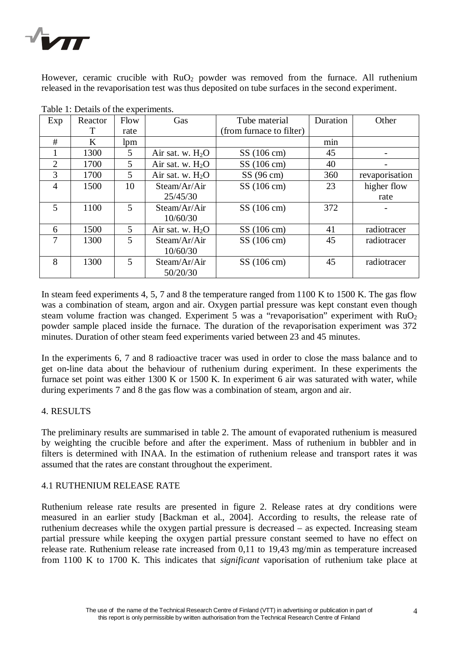

However, ceramic crucible with  $RuO<sub>2</sub>$  powder was removed from the furnace. All ruthenium released in the revaporisation test was thus deposited on tube surfaces in the second experiment.

| Exp            | raone 1. Detaille of the experimenter.<br>Reactor | Flow           | Gas                | Tube material            | Duration | Other          |
|----------------|---------------------------------------------------|----------------|--------------------|--------------------------|----------|----------------|
|                | T                                                 | rate           |                    | (from furnace to filter) |          |                |
| #              | K                                                 | lpm            |                    |                          | min      |                |
|                | 1300                                              | 5              | Air sat. w. $H_2O$ | $SS(106 \text{ cm})$     | 45       |                |
| $\overline{2}$ | 1700                                              | 5 <sup>5</sup> | Air sat. w. $H_2O$ | $SS(106 \text{ cm})$     | 40       |                |
| 3              | 1700                                              | 5              | Air sat. w. $H_2O$ | $SS(96 \text{ cm})$      | 360      | revaporisation |
| $\overline{4}$ | 1500                                              | 10             | Steam/Ar/Air       | SS (106 cm)              | 23       | higher flow    |
|                |                                                   |                | 25/45/30           |                          |          | rate           |
| 5              | 1100                                              | $\mathfrak{S}$ | Steam/Ar/Air       | SS (106 cm)              | 372      |                |
|                |                                                   |                | 10/60/30           |                          |          |                |
| 6              | 1500                                              | 5              | Air sat. w. $H_2O$ | $SS(106 \text{ cm})$     | 41       | radiotracer    |
| 7              | 1300                                              | $\overline{5}$ | Steam/Ar/Air       | SS (106 cm)              | 45       | radiotracer    |
|                |                                                   |                | 10/60/30           |                          |          |                |
| 8              | 1300                                              | 5              | Steam/Ar/Air       | $SS(106 \text{ cm})$     | 45       | radiotracer    |
|                |                                                   |                | 50/20/30           |                          |          |                |

Table  $1:$  Details of the experiments.

In steam feed experiments 4, 5, 7 and 8 the temperature ranged from 1100 K to 1500 K. The gas flow was a combination of steam, argon and air. Oxygen partial pressure was kept constant even though steam volume fraction was changed. Experiment 5 was a "revaporisation" experiment with  $RuO<sub>2</sub>$ powder sample placed inside the furnace. The duration of the revaporisation experiment was 372 minutes. Duration of other steam feed experiments varied between 23 and 45 minutes.

In the experiments 6, 7 and 8 radioactive tracer was used in order to close the mass balance and to get on-line data about the behaviour of ruthenium during experiment. In these experiments the furnace set point was either 1300 K or 1500 K. In experiment 6 air was saturated with water, while during experiments 7 and 8 the gas flow was a combination of steam, argon and air.

#### 4. RESULTS

The preliminary results are summarised in table 2. The amount of evaporated ruthenium is measured by weighting the crucible before and after the experiment. Mass of ruthenium in bubbler and in filters is determined with INAA. In the estimation of ruthenium release and transport rates it was assumed that the rates are constant throughout the experiment.

#### 4.1 RUTHENIUM RELEASE RATE

Ruthenium release rate results are presented in figure 2. Release rates at dry conditions were measured in an earlier study [Backman et al., 2004]. According to results, the release rate of ruthenium decreases while the oxygen partial pressure is decreased – as expected. Increasing steam partial pressure while keeping the oxygen partial pressure constant seemed to have no effect on release rate. Ruthenium release rate increased from 0,11 to 19,43 mg/min as temperature increased from 1100 K to 1700 K. This indicates that *significant* vaporisation of ruthenium take place at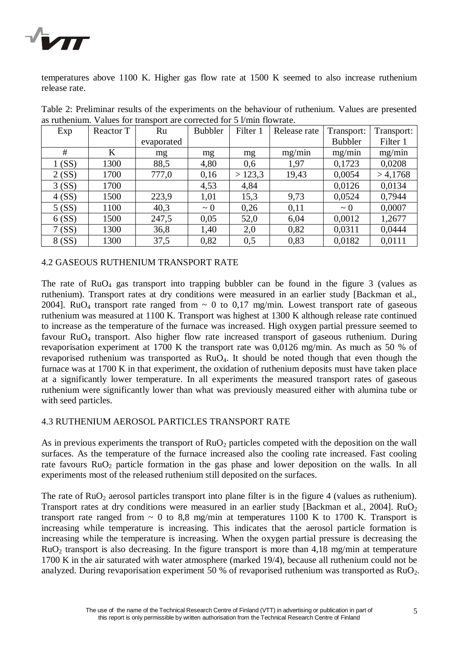

temperatures above 1100 K. Higher gas flow rate at 1500 K seemed to also increase ruthenium release rate.

| Exp    | Reactor T | Ru         | <b>Bubbler</b> | Filter 1 | Release rate | Transport:     | Transport: |
|--------|-----------|------------|----------------|----------|--------------|----------------|------------|
|        |           | evaporated |                |          |              | <b>Bubbler</b> | Filter 1   |
| #      | K         | mg         | mg             | mg       | mg/min       | mg/min         | mg/min     |
| 1(SS)  | 1300      | 88,5       | 4,80           | 0,6      | 1,97         | 0,1723         | 0,0208     |
| 2(SS)  | 1700      | 777,0      | 0,16           | >123,3   | 19,43        | 0,0054         | > 4,1768   |
| 3(SS)  | 1700      |            | 4,53           | 4,84     |              | 0,0126         | 0,0134     |
| 4(SS)  | 1500      | 223,9      | 1,01           | 15,3     | 9,73         | 0,0524         | 0,7944     |
| 5(SS)  | 1100      | 40,3       | $\sim 0$       | 0,26     | 0,11         | $\sim 0$       | 0,0007     |
| 6(SS)  | 1500      | 247,5      | 0,05           | 52,0     | 6,04         | 0,0012         | 1,2677     |
| 7(SS)  | 1300      | 36,8       | 1,40           | 2,0      | 0,82         | 0,0311         | 0,0444     |
| 8 (SS) | 1300      | 37,5       | 0,82           | 0,5      | 0,83         | 0,0182         | 0,0111     |

Table 2: Preliminar results of the experiments on the behaviour of ruthenium. Values are presented as ruthenium. Values for transport are corrected for 5 l/min flowrate.

### 4.2 GASEOUS RUTHENIUM TRANSPORT RATE

The rate of  $RuO<sub>4</sub>$  gas transport into trapping bubbler can be found in the figure 3 (values as ruthenium). Transport rates at dry conditions were measured in an earlier study [Backman et al., 2004]. RuO<sub>4</sub> transport rate ranged from  $\sim$  0 to 0,17 mg/min. Lowest transport rate of gaseous ruthenium was measured at 1100 K. Transport was highest at 1300 K although release rate continued to increase as the temperature of the furnace was increased. High oxygen partial pressure seemed to favour RuO4 transport. Also higher flow rate increased transport of gaseous ruthenium. During revaporisation experiment at 1700 K the transport rate was 0,0126 mg/min. As much as 50 % of revaporised ruthenium was transported as RuO4. It should be noted though that even though the furnace was at 1700 K in that experiment, the oxidation of ruthenium deposits must have taken place at a significantly lower temperature. In all experiments the measured transport rates of gaseous ruthenium were significantly lower than what was previously measured either with alumina tube or with seed particles.

# 4.3 RUTHENIUM AEROSOL PARTICLES TRANSPORT RATE

As in previous experiments the transport of  $RuO<sub>2</sub>$  particles competed with the deposition on the wall surfaces. As the temperature of the furnace increased also the cooling rate increased. Fast cooling rate favours  $RuO<sub>2</sub>$  particle formation in the gas phase and lower deposition on the walls. In all experiments most of the released ruthenium still deposited on the surfaces.

The rate of  $RuO<sub>2</sub>$  aerosol particles transport into plane filter is in the figure 4 (values as ruthenium). Transport rates at dry conditions were measured in an earlier study [Backman et al., 2004]. RuO<sub>2</sub> transport rate ranged from  $\sim$  0 to 8,8 mg/min at temperatures 1100 K to 1700 K. Transport is increasing while temperature is increasing. This indicates that the aerosol particle formation is increasing while the temperature is increasing. When the oxygen partial pressure is decreasing the  $RuO<sub>2</sub>$  transport is also decreasing. In the figure transport is more than 4.18 mg/min at temperature 1700 K in the air saturated with water atmosphere (marked 19/4), because all ruthenium could not be analyzed. During revaporisation experiment 50 % of revaporised ruthenium was transported as  $RuO<sub>2</sub>$ .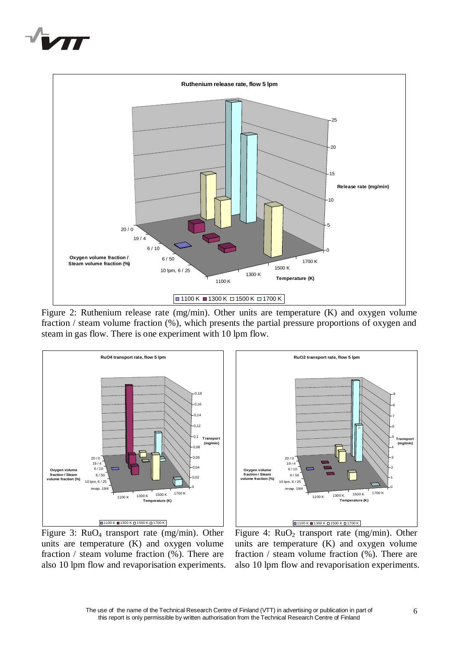



Figure 2: Ruthenium release rate (mg/min). Other units are temperature (K) and oxygen volume fraction / steam volume fraction (%), which presents the partial pressure proportions of oxygen and steam in gas flow. There is one experiment with 10 lpm flow.



Figure 3: RuO4 transport rate (mg/min). Other units are temperature (K) and oxygen volume fraction / steam volume fraction (%). There are also 10 lpm flow and revaporisation experiments.



Figure 4:  $RuO<sub>2</sub>$  transport rate (mg/min). Other units are temperature (K) and oxygen volume fraction / steam volume fraction (%). There are also 10 lpm flow and revaporisation experiments.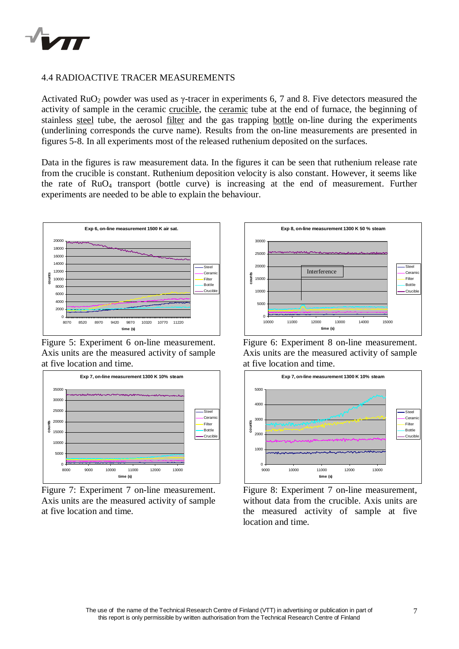

#### 4.4 RADIOACTIVE TRACER MEASUREMENTS

Activated RuO<sub>2</sub> powder was used as  $\gamma$ -tracer in experiments 6, 7 and 8. Five detectors measured the activity of sample in the ceramic crucible, the ceramic tube at the end of furnace, the beginning of stainless steel tube, the aerosol filter and the gas trapping bottle on-line during the experiments (underlining corresponds the curve name). Results from the on-line measurements are presented in figures 5-8. In all experiments most of the released ruthenium deposited on the surfaces.

Data in the figures is raw measurement data. In the figures it can be seen that ruthenium release rate from the crucible is constant. Ruthenium deposition velocity is also constant. However, it seems like the rate of  $RuO<sub>4</sub>$  transport (bottle curve) is increasing at the end of measurement. Further experiments are needed to be able to explain the behaviour.



Figure 5: Experiment 6 on-line measurement. Axis units are the measured activity of sample at five location and time.



Figure 7: Experiment 7 on-line measurement. Axis units are the measured activity of sample at five location and time.



Figure 6: Experiment 8 on-line measurement. Axis units are the measured activity of sample at five location and time.



Figure 8: Experiment 7 on-line measurement, without data from the crucible. Axis units are the measured activity of sample at five location and time.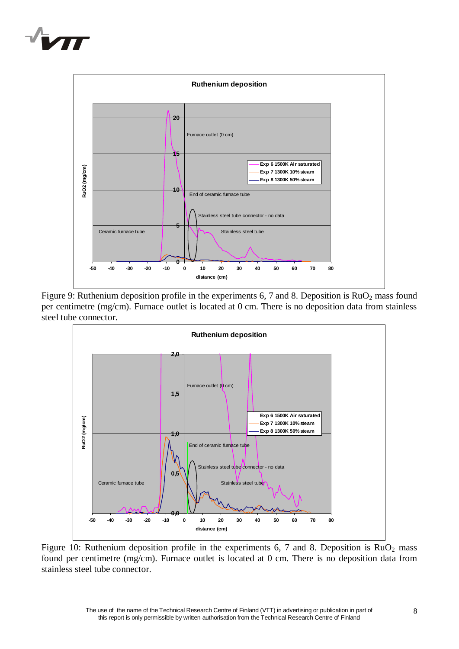



Figure 9: Ruthenium deposition profile in the experiments 6, 7 and 8. Deposition is  $RuO<sub>2</sub>$  mass found per centimetre (mg/cm). Furnace outlet is located at 0 cm. There is no deposition data from stainless steel tube connector.



Figure 10: Ruthenium deposition profile in the experiments 6, 7 and 8. Deposition is  $RuO<sub>2</sub>$  mass found per centimetre (mg/cm). Furnace outlet is located at 0 cm. There is no deposition data from stainless steel tube connector.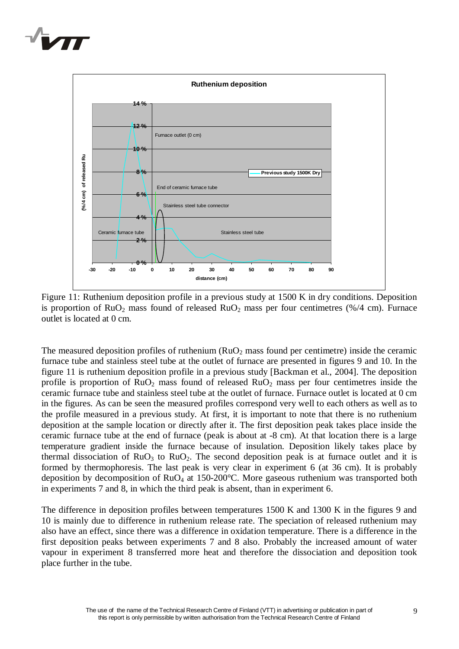



Figure 11: Ruthenium deposition profile in a previous study at 1500 K in dry conditions. Deposition is proportion of RuO<sub>2</sub> mass found of released RuO<sub>2</sub> mass per four centimetres (%/4 cm). Furnace outlet is located at 0 cm.

The measured deposition profiles of ruthenium ( $RuO<sub>2</sub>$  mass found per centimetre) inside the ceramic furnace tube and stainless steel tube at the outlet of furnace are presented in figures 9 and 10. In the figure 11 is ruthenium deposition profile in a previous study [Backman et al., 2004]. The deposition profile is proportion of  $RuO<sub>2</sub>$  mass found of released  $RuO<sub>2</sub>$  mass per four centimetres inside the ceramic furnace tube and stainless steel tube at the outlet of furnace. Furnace outlet is located at 0 cm in the figures. As can be seen the measured profiles correspond very well to each others as well as to the profile measured in a previous study. At first, it is important to note that there is no ruthenium deposition at the sample location or directly after it. The first deposition peak takes place inside the ceramic furnace tube at the end of furnace (peak is about at -8 cm). At that location there is a large temperature gradient inside the furnace because of insulation. Deposition likely takes place by thermal dissociation of  $RuO<sub>3</sub>$  to  $RuO<sub>2</sub>$ . The second deposition peak is at furnace outlet and it is formed by thermophoresis. The last peak is very clear in experiment 6 (at 36 cm). It is probably deposition by decomposition of RuO4 at 150-200°C. More gaseous ruthenium was transported both in experiments 7 and 8, in which the third peak is absent, than in experiment 6.

The difference in deposition profiles between temperatures 1500 K and 1300 K in the figures 9 and 10 is mainly due to difference in ruthenium release rate. The speciation of released ruthenium may also have an effect, since there was a difference in oxidation temperature. There is a difference in the first deposition peaks between experiments 7 and 8 also. Probably the increased amount of water vapour in experiment 8 transferred more heat and therefore the dissociation and deposition took place further in the tube.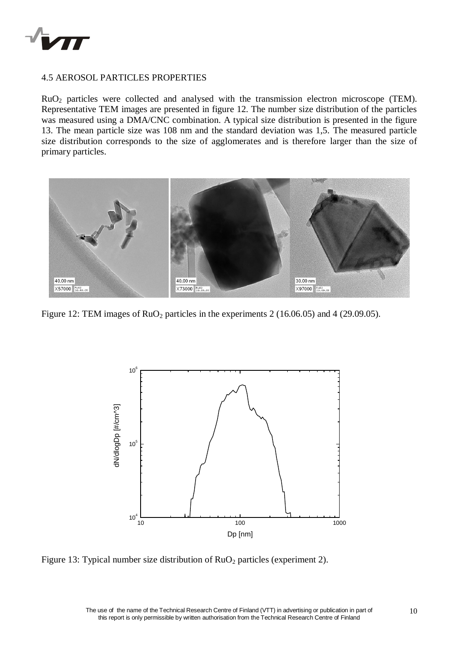

#### 4.5 AEROSOL PARTICLES PROPERTIES

RuO<sub>2</sub> particles were collected and analysed with the transmission electron microscope (TEM). Representative TEM images are presented in figure 12. The number size distribution of the particles was measured using a DMA/CNC combination. A typical size distribution is presented in the figure 13. The mean particle size was 108 nm and the standard deviation was 1,5. The measured particle size distribution corresponds to the size of agglomerates and is therefore larger than the size of primary particles.



Figure 12: TEM images of RuO<sub>2</sub> particles in the experiments 2 (16.06.05) and 4 (29.09.05).



Figure 13: Typical number size distribution of RuO<sub>2</sub> particles (experiment 2).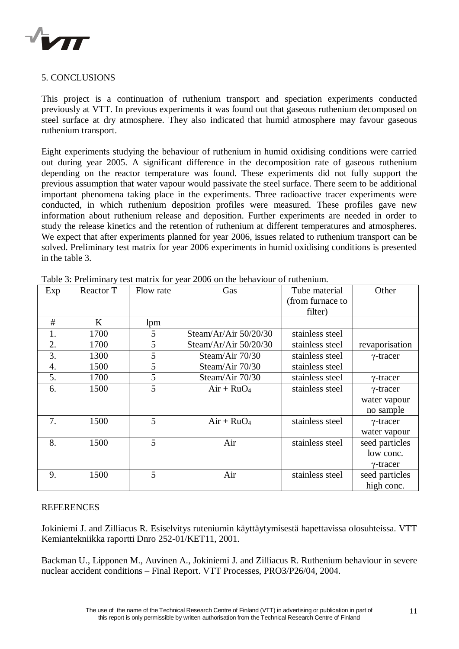

# 5. CONCLUSIONS

This project is a continuation of ruthenium transport and speciation experiments conducted previously at VTT. In previous experiments it was found out that gaseous ruthenium decomposed on steel surface at dry atmosphere. They also indicated that humid atmosphere may favour gaseous ruthenium transport.

Eight experiments studying the behaviour of ruthenium in humid oxidising conditions were carried out during year 2005. A significant difference in the decomposition rate of gaseous ruthenium depending on the reactor temperature was found. These experiments did not fully support the previous assumption that water vapour would passivate the steel surface. There seem to be additional important phenomena taking place in the experiments. Three radioactive tracer experiments were conducted, in which ruthenium deposition profiles were measured. These profiles gave new information about ruthenium release and deposition. Further experiments are needed in order to study the release kinetics and the retention of ruthenium at different temperatures and atmospheres. We expect that after experiments planned for year 2006, issues related to ruthenium transport can be solved. Preliminary test matrix for year 2006 experiments in humid oxidising conditions is presented in the table 3.

| Exp | Reactor T | Flow rate | Gas                     | Tube material    | Other            |
|-----|-----------|-----------|-------------------------|------------------|------------------|
|     |           |           |                         | (from furnace to |                  |
|     |           |           |                         | filter)          |                  |
| #   | K         | lpm       |                         |                  |                  |
| 1.  | 1700      | 5         | Steam/Ar/Air 50/20/30   | stainless steel  |                  |
| 2.  | 1700      | 5         | Steam/Ar/Air $50/20/30$ | stainless steel  | revaporisation   |
| 3.  | 1300      | 5         | Steam/Air 70/30         | stainless steel  | $\gamma$ -tracer |
| 4.  | 1500      | 5         | Steam/Air 70/30         | stainless steel  |                  |
| 5.  | 1700      | 5         | Steam/Air 70/30         | stainless steel  | $\gamma$ -tracer |
| 6.  | 1500      | 5         | $Air + RuO4$            | stainless steel  | $\gamma$ -tracer |
|     |           |           |                         |                  | water vapour     |
|     |           |           |                         |                  | no sample        |
| 7.  | 1500      | 5         | $Air + RuO4$            | stainless steel  | $\gamma$ -tracer |
|     |           |           |                         |                  | water vapour     |
| 8.  | 1500      | 5         | Air                     | stainless steel  | seed particles   |
|     |           |           |                         |                  | low conc.        |
|     |           |           |                         |                  | $\gamma$ -tracer |
| 9.  | 1500      | 5         | Air                     | stainless steel  | seed particles   |
|     |           |           |                         |                  | high conc.       |

Table 3: Preliminary test matrix for year 2006 on the behaviour of ruthenium.

# **REFERENCES**

Jokiniemi J. and Zilliacus R. Esiselvitys ruteniumin käyttäytymisestä hapettavissa olosuhteissa. VTT Kemiantekniikka raportti Dnro 252-01/KET11, 2001.

Backman U., Lipponen M., Auvinen A., Jokiniemi J. and Zilliacus R. Ruthenium behaviour in severe nuclear accident conditions – Final Report. VTT Processes, PRO3/P26/04, 2004.